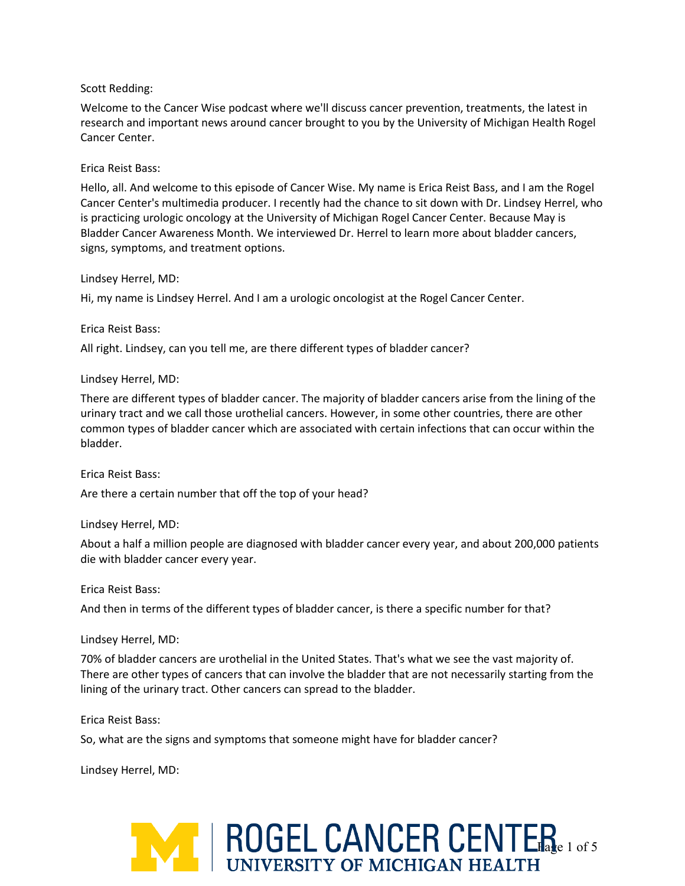### Scott Redding:

Welcome to the Cancer Wise podcast where we'll discuss cancer prevention, treatments, the latest in research and important news around cancer brought to you by the University of Michigan Health Rogel Cancer Center.

### Erica Reist Bass:

Hello, all. And welcome to this episode of Cancer Wise. My name is Erica Reist Bass, and I am the Rogel Cancer Center's multimedia producer. I recently had the chance to sit down with Dr. Lindsey Herrel, who is practicing urologic oncology at the University of Michigan Rogel Cancer Center. Because May is Bladder Cancer Awareness Month. We interviewed Dr. Herrel to learn more about bladder cancers, signs, symptoms, and treatment options.

#### Lindsey Herrel, MD:

Hi, my name is Lindsey Herrel. And I am a urologic oncologist at the Rogel Cancer Center.

### Erica Reist Bass:

All right. Lindsey, can you tell me, are there different types of bladder cancer?

### Lindsey Herrel, MD:

There are different types of bladder cancer. The majority of bladder cancers arise from the lining of the urinary tract and we call those urothelial cancers. However, in some other countries, there are other common types of bladder cancer which are associated with certain infections that can occur within the bladder.

#### Erica Reist Bass:

Are there a certain number that off the top of your head?

### Lindsey Herrel, MD:

About a half a million people are diagnosed with bladder cancer every year, and about 200,000 patients die with bladder cancer every year.

#### Erica Reist Bass:

And then in terms of the different types of bladder cancer, is there a specific number for that?

### Lindsey Herrel, MD:

70% of bladder cancers are urothelial in the United States. That's what we see the vast majority of. There are other types of cancers that can involve the bladder that are not necessarily starting from the lining of the urinary tract. Other cancers can spread to the bladder.

### Erica Reist Bass:

So, what are the signs and symptoms that someone might have for bladder cancer?

Lindsey Herrel, MD:

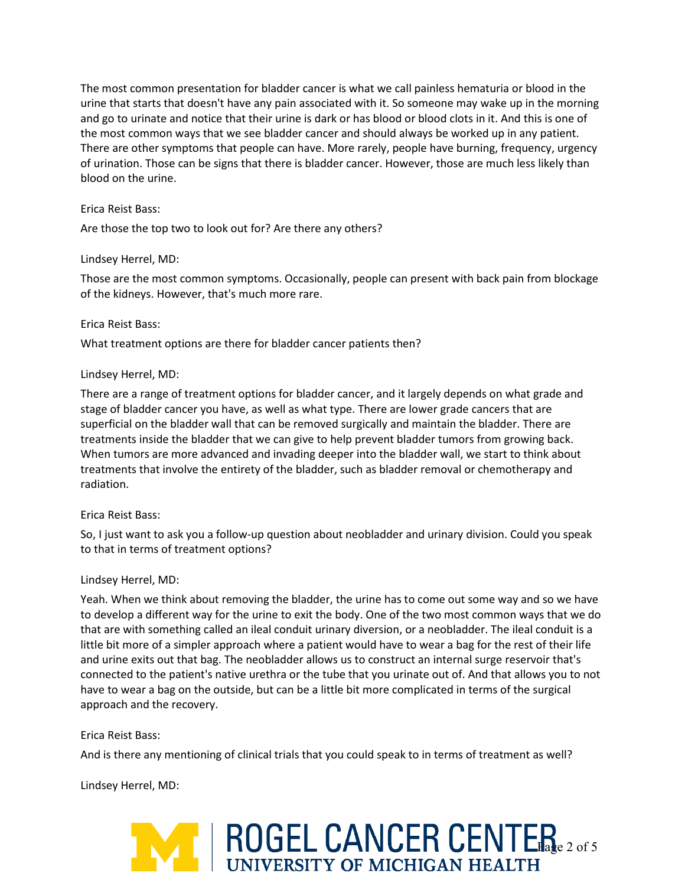The most common presentation for bladder cancer is what we call painless hematuria or blood in the urine that starts that doesn't have any pain associated with it. So someone may wake up in the morning and go to urinate and notice that their urine is dark or has blood or blood clots in it. And this is one of the most common ways that we see bladder cancer and should always be worked up in any patient. There are other symptoms that people can have. More rarely, people have burning, frequency, urgency of urination. Those can be signs that there is bladder cancer. However, those are much less likely than blood on the urine.

### Erica Reist Bass:

Are those the top two to look out for? Are there any others?

### Lindsey Herrel, MD:

Those are the most common symptoms. Occasionally, people can present with back pain from blockage of the kidneys. However, that's much more rare.

## Erica Reist Bass:

What treatment options are there for bladder cancer patients then?

## Lindsey Herrel, MD:

There are a range of treatment options for bladder cancer, and it largely depends on what grade and stage of bladder cancer you have, as well as what type. There are lower grade cancers that are superficial on the bladder wall that can be removed surgically and maintain the bladder. There are treatments inside the bladder that we can give to help prevent bladder tumors from growing back. When tumors are more advanced and invading deeper into the bladder wall, we start to think about treatments that involve the entirety of the bladder, such as bladder removal or chemotherapy and radiation.

### Erica Reist Bass:

So, I just want to ask you a follow-up question about neobladder and urinary division. Could you speak to that in terms of treatment options?

### Lindsey Herrel, MD:

Yeah. When we think about removing the bladder, the urine has to come out some way and so we have to develop a different way for the urine to exit the body. One of the two most common ways that we do that are with something called an ileal conduit urinary diversion, or a neobladder. The ileal conduit is a little bit more of a simpler approach where a patient would have to wear a bag for the rest of their life and urine exits out that bag. The neobladder allows us to construct an internal surge reservoir that's connected to the patient's native urethra or the tube that you urinate out of. And that allows you to not have to wear a bag on the outside, but can be a little bit more complicated in terms of the surgical approach and the recovery.

# Erica Reist Bass:

And is there any mentioning of clinical trials that you could speak to in terms of treatment as well?

Lindsey Herrel, MD:

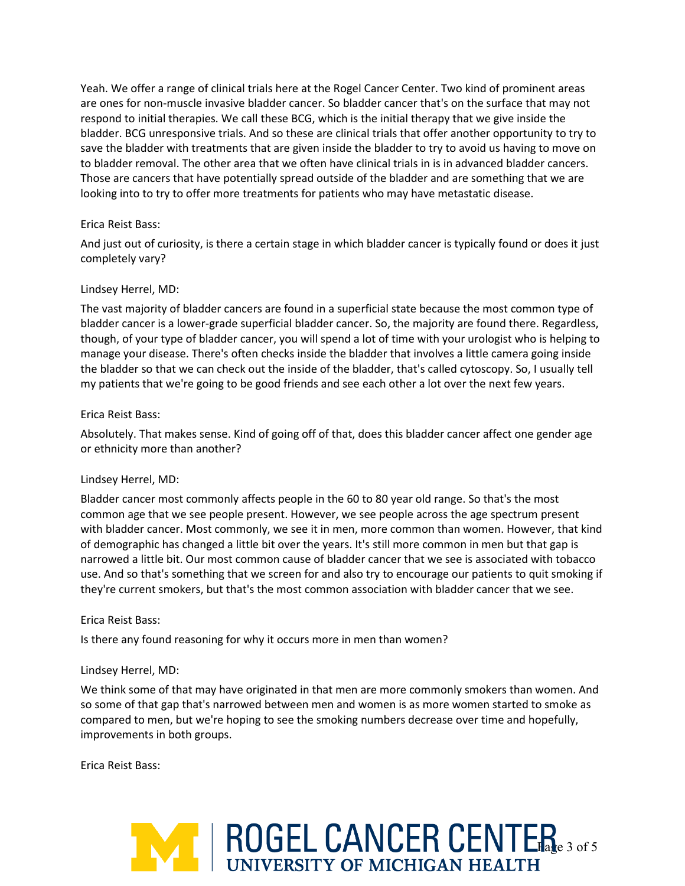Yeah. We offer a range of clinical trials here at the Rogel Cancer Center. Two kind of prominent areas are ones for non-muscle invasive bladder cancer. So bladder cancer that's on the surface that may not respond to initial therapies. We call these BCG, which is the initial therapy that we give inside the bladder. BCG unresponsive trials. And so these are clinical trials that offer another opportunity to try to save the bladder with treatments that are given inside the bladder to try to avoid us having to move on to bladder removal. The other area that we often have clinical trials in is in advanced bladder cancers. Those are cancers that have potentially spread outside of the bladder and are something that we are looking into to try to offer more treatments for patients who may have metastatic disease.

## Erica Reist Bass:

And just out of curiosity, is there a certain stage in which bladder cancer is typically found or does it just completely vary?

## Lindsey Herrel, MD:

The vast majority of bladder cancers are found in a superficial state because the most common type of bladder cancer is a lower-grade superficial bladder cancer. So, the majority are found there. Regardless, though, of your type of bladder cancer, you will spend a lot of time with your urologist who is helping to manage your disease. There's often checks inside the bladder that involves a little camera going inside the bladder so that we can check out the inside of the bladder, that's called cytoscopy. So, I usually tell my patients that we're going to be good friends and see each other a lot over the next few years.

### Erica Reist Bass:

Absolutely. That makes sense. Kind of going off of that, does this bladder cancer affect one gender age or ethnicity more than another?

### Lindsey Herrel, MD:

Bladder cancer most commonly affects people in the 60 to 80 year old range. So that's the most common age that we see people present. However, we see people across the age spectrum present with bladder cancer. Most commonly, we see it in men, more common than women. However, that kind of demographic has changed a little bit over the years. It's still more common in men but that gap is narrowed a little bit. Our most common cause of bladder cancer that we see is associated with tobacco use. And so that's something that we screen for and also try to encourage our patients to quit smoking if they're current smokers, but that's the most common association with bladder cancer that we see.

### Erica Reist Bass:

Is there any found reasoning for why it occurs more in men than women?

### Lindsey Herrel, MD:

We think some of that may have originated in that men are more commonly smokers than women. And so some of that gap that's narrowed between men and women is as more women started to smoke as compared to men, but we're hoping to see the smoking numbers decrease over time and hopefully, improvements in both groups.

Erica Reist Bass:

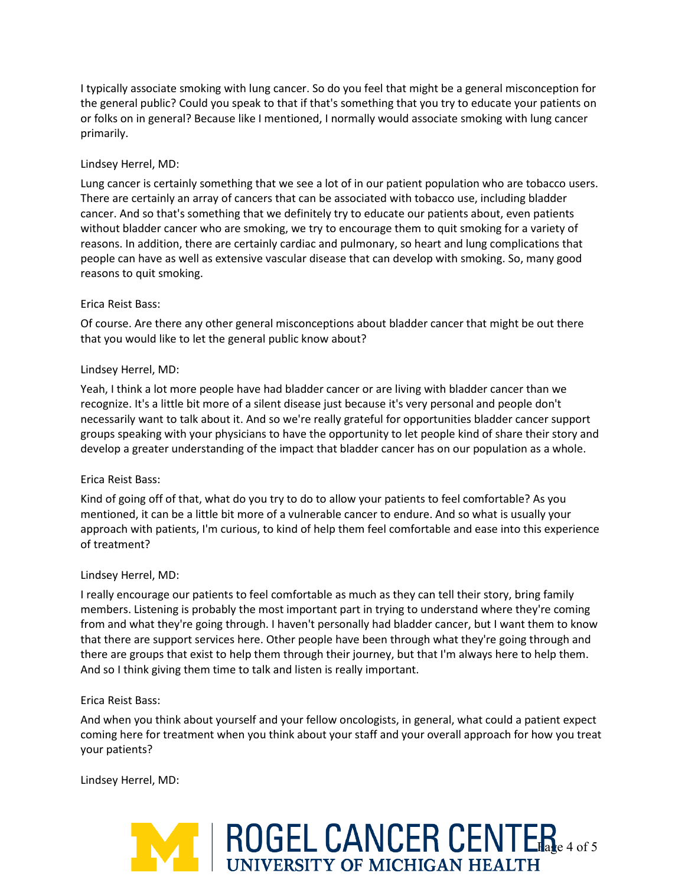I typically associate smoking with lung cancer. So do you feel that might be a general misconception for the general public? Could you speak to that if that's something that you try to educate your patients on or folks on in general? Because like I mentioned, I normally would associate smoking with lung cancer primarily.

# Lindsey Herrel, MD:

Lung cancer is certainly something that we see a lot of in our patient population who are tobacco users. There are certainly an array of cancers that can be associated with tobacco use, including bladder cancer. And so that's something that we definitely try to educate our patients about, even patients without bladder cancer who are smoking, we try to encourage them to quit smoking for a variety of reasons. In addition, there are certainly cardiac and pulmonary, so heart and lung complications that people can have as well as extensive vascular disease that can develop with smoking. So, many good reasons to quit smoking.

## Erica Reist Bass:

Of course. Are there any other general misconceptions about bladder cancer that might be out there that you would like to let the general public know about?

### Lindsey Herrel, MD:

Yeah, I think a lot more people have had bladder cancer or are living with bladder cancer than we recognize. It's a little bit more of a silent disease just because it's very personal and people don't necessarily want to talk about it. And so we're really grateful for opportunities bladder cancer support groups speaking with your physicians to have the opportunity to let people kind of share their story and develop a greater understanding of the impact that bladder cancer has on our population as a whole.

### Erica Reist Bass:

Kind of going off of that, what do you try to do to allow your patients to feel comfortable? As you mentioned, it can be a little bit more of a vulnerable cancer to endure. And so what is usually your approach with patients, I'm curious, to kind of help them feel comfortable and ease into this experience of treatment?

### Lindsey Herrel, MD:

I really encourage our patients to feel comfortable as much as they can tell their story, bring family members. Listening is probably the most important part in trying to understand where they're coming from and what they're going through. I haven't personally had bladder cancer, but I want them to know that there are support services here. Other people have been through what they're going through and there are groups that exist to help them through their journey, but that I'm always here to help them. And so I think giving them time to talk and listen is really important.

### Erica Reist Bass:

And when you think about yourself and your fellow oncologists, in general, what could a patient expect coming here for treatment when you think about your staff and your overall approach for how you treat your patients?

Lindsey Herrel, MD: